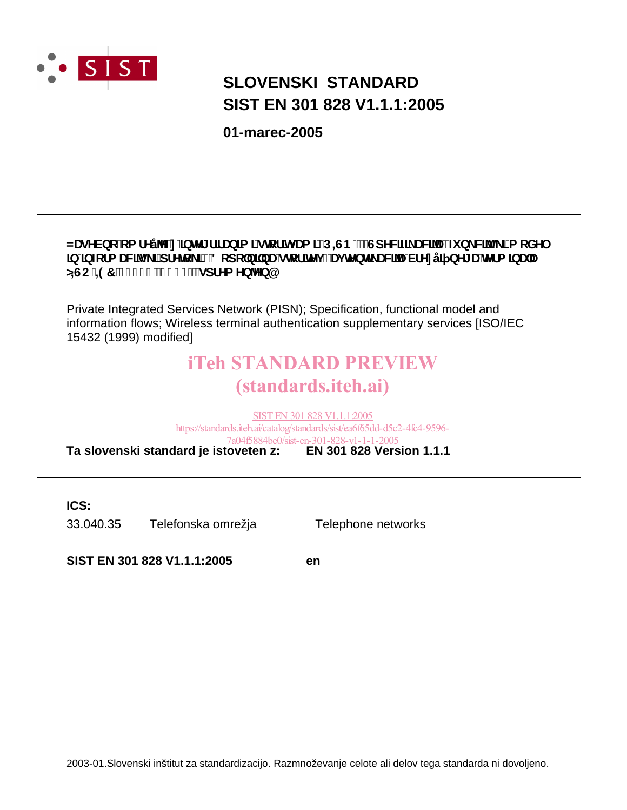

# **SIST EN 301 828 V1.1.1:2005 SLOVENSKI STANDARD**

**01-marec-2005**

#### NUgYVbc ca fYÿY'n JbhYl flfUbla l'ghcflhi Ua l'fD=GBŁ! GdYWZ UWUŽZI b Wyg l'a cXY **Jb']bZ:fa UVYg\_l'dfYrc\_l'!'8 cdc'bl'bU'grcf]lYij. Uj HYbH\_UVYU'VfYnÿ] bY[U'HYfa ]bUU GGC#97 '% (' & fl% - - Łżgdf Ya Yb YbQ**

Private Integrated Services Network (PISN); Specification, functional model and information flows; Wireless terminal authentication supplementary services [ISO/IEC 15432 (1999) modified]

# iTeh STANDARD PREVIEW (standards.iteh.ai)

**Ta slovenski standard je istoveten z: EN 301 828 Version 1.1.1** SIST EN 301 828 V1.1.1:2005 https://standards.iteh.ai/catalog/standards/sist/ea6f65dd-d5c2-4fc4-9596- 7a04f5884be0/sist-en-301-828-v1-1-1-2005

**ICS:**

33.040.35 Telefonska omrežja Telephone networks

**SIST EN 301 828 V1.1.1:2005 en**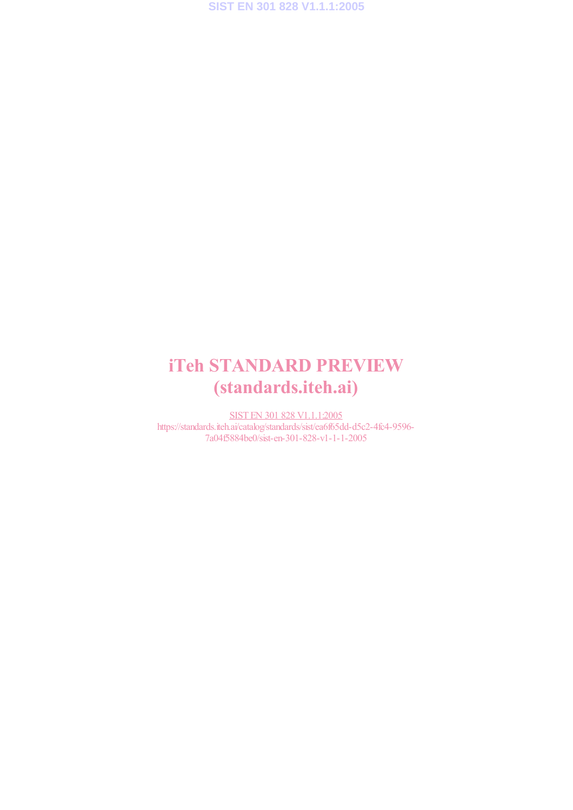# iTeh STANDARD PREVIEW (standards.iteh.ai)

SIST EN 301 828 V1.1.1:2005 https://standards.iteh.ai/catalog/standards/sist/ea6f65dd-d5c2-4fc4-9596-7a04f5884be0/sist-en-301-828-v1-1-1-2005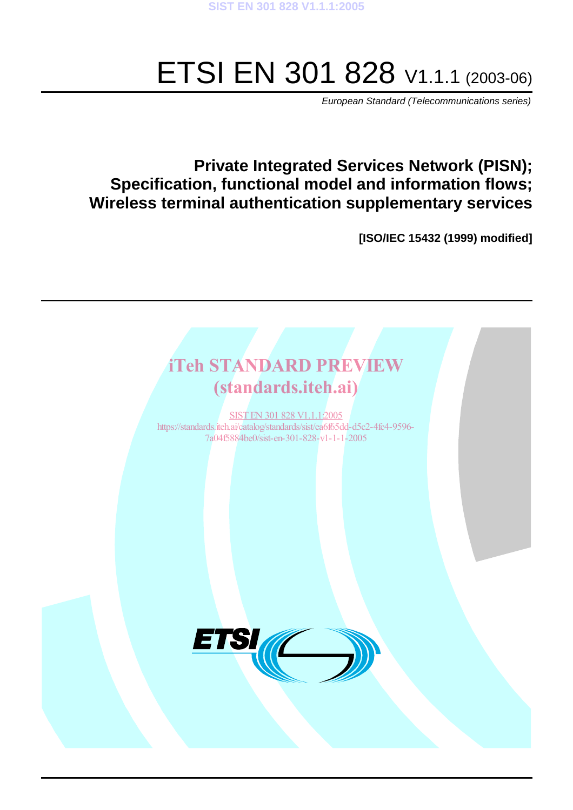# ETSI EN 301 828 V1.1.1 (2003-06)

European Standard (Telecommunications series)

### **Private Integrated Services Network (PISN); Specification, functional model and information flows; Wireless terminal authentication supplementary services**

**[ISO/IEC 15432 (1999) modified]**

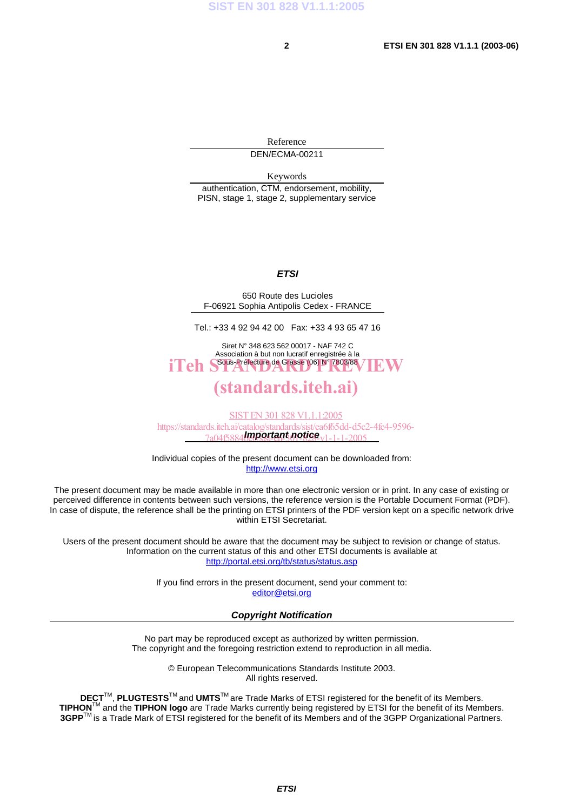Reference DEN/ECMA-00211

Keywords

authentication, CTM, endorsement, mobility, PISN, stage 1, stage 2, supplementary service

#### **ETSI**

650 Route des Lucioles F-06921 Sophia Antipolis Cedex - FRANCE

Tel.: +33 4 92 94 42 00 Fax: +33 4 93 65 47 16

Siret N° 348 623 562 00017 - NAF 742 C Association à but non lucratif enregistrée à la iTeh S<sup>Sous-Préfecture</sup> de Grasse (06) N° 7803/88 / IEW

#### (standards.iteh.ai)

7a04f5884**ben/sertant notice** v1-1-1-2005 SIST EN 301 828 V1.1.1:2005 https://standards.iteh.ai/catalog/standards/sist/ea6f65dd-d5c2-4fc4-9596-

Individual copies of the present document can be downloaded from: http://www.etsi.org

The present document may be made available in more than one electronic version or in print. In any case of existing or perceived difference in contents between such versions, the reference version is the Portable Document Format (PDF). In case of dispute, the reference shall be the printing on ETSI printers of the PDF version kept on a specific network drive within ETSI Secretariat.

Users of the present document should be aware that the document may be subject to revision or change of status. Information on the current status of this and other ETSI documents is available at http://portal.etsi.org/tb/status/status.asp

> If you find errors in the present document, send your comment to: editor@etsi.org

#### **Copyright Notification**

No part may be reproduced except as authorized by written permission. The copyright and the foregoing restriction extend to reproduction in all media.

> © European Telecommunications Standards Institute 2003. All rights reserved.

**DECT**TM, **PLUGTESTS**TM and **UMTS**TM are Trade Marks of ETSI registered for the benefit of its Members. **TIPHON**TM and the **TIPHON logo** are Trade Marks currently being registered by ETSI for the benefit of its Members. **3GPP**TM is a Trade Mark of ETSI registered for the benefit of its Members and of the 3GPP Organizational Partners.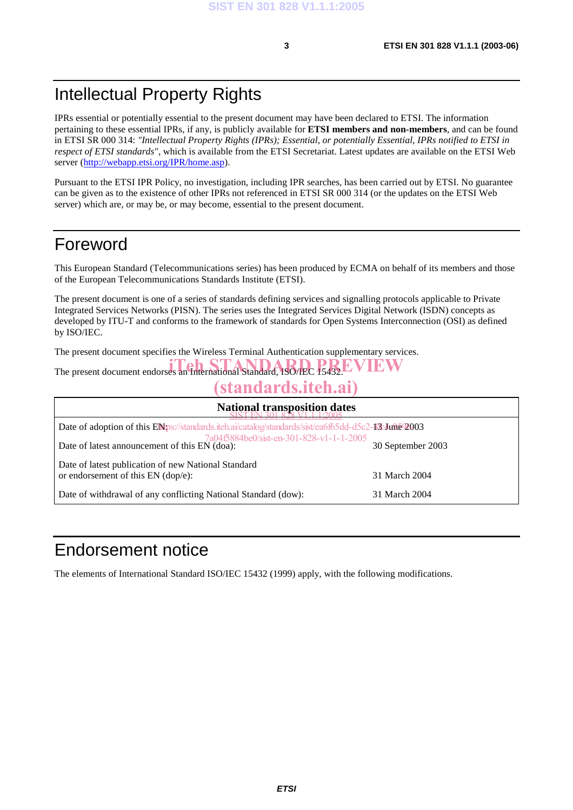### Intellectual Property Rights

IPRs essential or potentially essential to the present document may have been declared to ETSI. The information pertaining to these essential IPRs, if any, is publicly available for **ETSI members and non-members**, and can be found in ETSI SR 000 314: *"Intellectual Property Rights (IPRs); Essential, or potentially Essential, IPRs notified to ETSI in respect of ETSI standards"*, which is available from the ETSI Secretariat. Latest updates are available on the ETSI Web server (http://webapp.etsi.org/IPR/home.asp).

Pursuant to the ETSI IPR Policy, no investigation, including IPR searches, has been carried out by ETSI. No guarantee can be given as to the existence of other IPRs not referenced in ETSI SR 000 314 (or the updates on the ETSI Web server) which are, or may be, or may become, essential to the present document.

### Foreword

This European Standard (Telecommunications series) has been produced by ECMA on behalf of its members and those of the European Telecommunications Standards Institute (ETSI).

The present document is one of a series of standards defining services and signalling protocols applicable to Private Integrated Services Networks (PISN). The series uses the Integrated Services Digital Network (ISDN) concepts as developed by ITU-T and conforms to the framework of standards for Open Systems Interconnection (OSI) as defined by ISO/IEC.

The present document specifies the Wireless Terminal Authentication supplementary services.

The present document endorses an International Standard, ISO/IEC 15432 EVIEW

# (standards.iteh.ai)

| <b>National transposition dates</b>                                                                 |                   |  |  |  |
|-----------------------------------------------------------------------------------------------------|-------------------|--|--|--|
| Date of adoption of this ENps://standards.iteh.ai/catalog/standards/sist/ea6f65dd-d5c2-43:4une 2003 |                   |  |  |  |
| 7a04f5884be0/sist-en-301-828-v1-1-1-2005<br>Date of latest announcement of this EN (doa):           | 30 September 2003 |  |  |  |
| Date of latest publication of new National Standard                                                 |                   |  |  |  |
| or endorsement of this $EN$ (dop/e):                                                                | 31 March 2004     |  |  |  |
| Date of withdrawal of any conflicting National Standard (dow):                                      | 31 March 2004     |  |  |  |

### Endorsement notice

The elements of International Standard ISO/IEC 15432 (1999) apply, with the following modifications.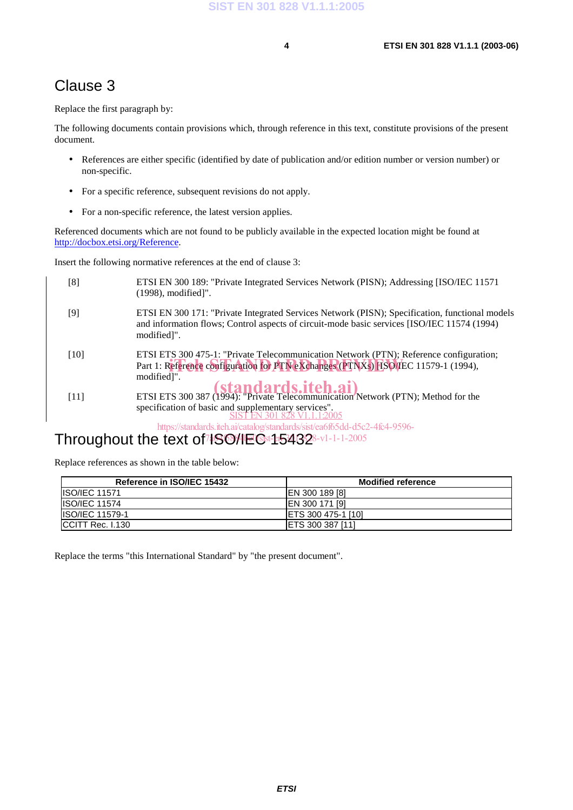#### Clause 3

Replace the first paragraph by:

The following documents contain provisions which, through reference in this text, constitute provisions of the present document.

- References are either specific (identified by date of publication and/or edition number or version number) or non-specific.
- For a specific reference, subsequent revisions do not apply.
- For a non-specific reference, the latest version applies.

Referenced documents which are not found to be publicly available in the expected location might be found at http://docbox.etsi.org/Reference.

Insert the following normative references at the end of clause 3:

| [8]    | ETSI EN 300 189: "Private Integrated Services Network (PISN); Addressing [ISO/IEC 11571<br>$(1998)$ , modified]".                                                                                            |
|--------|--------------------------------------------------------------------------------------------------------------------------------------------------------------------------------------------------------------|
| [9]    | ETSI EN 300 171: "Private Integrated Services Network (PISN); Specification, functional models<br>and information flows; Control aspects of circuit-mode basic services [ISO/IEC 11574 (1994)<br>modified]". |
| $[10]$ | ETSI ETS 300 475-1: "Private Telecommunication Network (PTN); Reference configuration;<br>Part 1: Reference configuration for PTN eXchanges (PTNXs) [ISO/IEC 11579-1 (1994),<br>modified]".                  |
| $[11]$ | <b>ETSI ETS</b> 300 387 (1994): "Private Telecommunication Network (PTN); Method for the<br>specification of basic and supplementary services".<br>"FN 301 828 V1.1.1:2005                                   |
|        | https://standards.iteh.ai/catalog/standards/sist/ea6f65dd-d5c2-4fc4-9596-                                                                                                                                    |

#### Throughout the text of<sup>7</sup>ISO/IEC 15432 7**4S684E0Sst-et5462**8-v1-1-1-2005

Replace references as shown in the table below:

| Reference in ISO/IEC 15432 | <b>Modified reference</b>  |
|----------------------------|----------------------------|
| <b>IISO/IEC 11571</b>      | <b>EN 300 189 [8]</b>      |
| <b>ISO/IEC 11574</b>       | IEN 300 171 [9]            |
| <b>ISO/IEC 11579-1</b>     | <b>IETS 300 475-1 [10]</b> |
| ICCITT Rec. I.130          | <b>IETS 300 387 [11]</b>   |

Replace the terms "this International Standard" by "the present document".